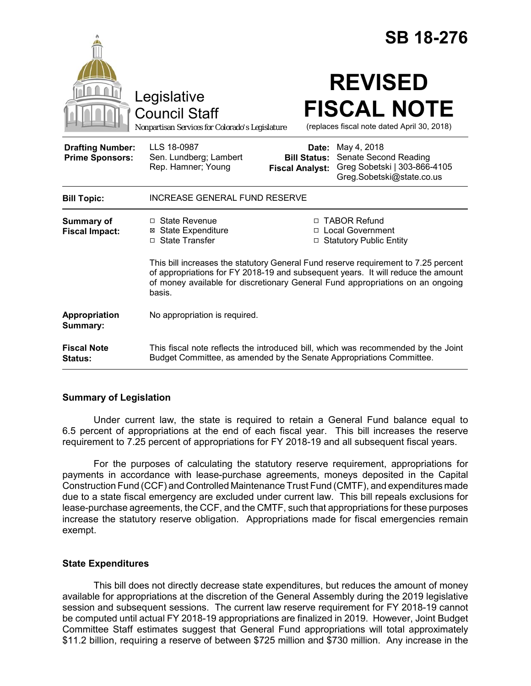|                                                   |                                                                                                                                                                                                                                                                    |                                                        | <b>SB 18-276</b>                                                                                  |  |
|---------------------------------------------------|--------------------------------------------------------------------------------------------------------------------------------------------------------------------------------------------------------------------------------------------------------------------|--------------------------------------------------------|---------------------------------------------------------------------------------------------------|--|
|                                                   | Legislative<br><b>Council Staff</b><br>Nonpartisan Services for Colorado's Legislature                                                                                                                                                                             |                                                        | <b>REVISED</b><br><b>FISCAL NOTE</b><br>(replaces fiscal note dated April 30, 2018)               |  |
| <b>Drafting Number:</b><br><b>Prime Sponsors:</b> | LLS 18-0987<br>Sen. Lundberg; Lambert<br>Rep. Hamner; Young                                                                                                                                                                                                        | Date:<br><b>Bill Status:</b><br><b>Fiscal Analyst:</b> | May 4, 2018<br>Senate Second Reading<br>Greg Sobetski   303-866-4105<br>Greg.Sobetski@state.co.us |  |
| <b>Bill Topic:</b>                                | <b>INCREASE GENERAL FUND RESERVE</b>                                                                                                                                                                                                                               |                                                        |                                                                                                   |  |
| <b>Summary of</b><br><b>Fiscal Impact:</b>        | □ State Revenue<br><b>⊠</b> State Expenditure<br>□ State Transfer                                                                                                                                                                                                  |                                                        | □ TABOR Refund<br>□ Local Government<br>□ Statutory Public Entity                                 |  |
|                                                   | This bill increases the statutory General Fund reserve requirement to 7.25 percent<br>of appropriations for FY 2018-19 and subsequent years. It will reduce the amount<br>of money available for discretionary General Fund appropriations on an ongoing<br>basis. |                                                        |                                                                                                   |  |
| Appropriation<br>Summary:                         | No appropriation is required.                                                                                                                                                                                                                                      |                                                        |                                                                                                   |  |
| <b>Fiscal Note</b><br>Status:                     | This fiscal note reflects the introduced bill, which was recommended by the Joint<br>Budget Committee, as amended by the Senate Appropriations Committee.                                                                                                          |                                                        |                                                                                                   |  |

## **Summary of Legislation**

Under current law, the state is required to retain a General Fund balance equal to 6.5 percent of appropriations at the end of each fiscal year. This bill increases the reserve requirement to 7.25 percent of appropriations for FY 2018-19 and all subsequent fiscal years.

For the purposes of calculating the statutory reserve requirement, appropriations for payments in accordance with lease-purchase agreements, moneys deposited in the Capital Construction Fund (CCF) and Controlled Maintenance Trust Fund (CMTF), and expenditures made due to a state fiscal emergency are excluded under current law. This bill repeals exclusions for lease-purchase agreements, the CCF, and the CMTF, such that appropriations for these purposes increase the statutory reserve obligation. Appropriations made for fiscal emergencies remain exempt.

## **State Expenditures**

This bill does not directly decrease state expenditures, but reduces the amount of money available for appropriations at the discretion of the General Assembly during the 2019 legislative session and subsequent sessions. The current law reserve requirement for FY 2018-19 cannot be computed until actual FY 2018-19 appropriations are finalized in 2019. However, Joint Budget Committee Staff estimates suggest that General Fund appropriations will total approximately \$11.2 billion, requiring a reserve of between \$725 million and \$730 million. Any increase in the